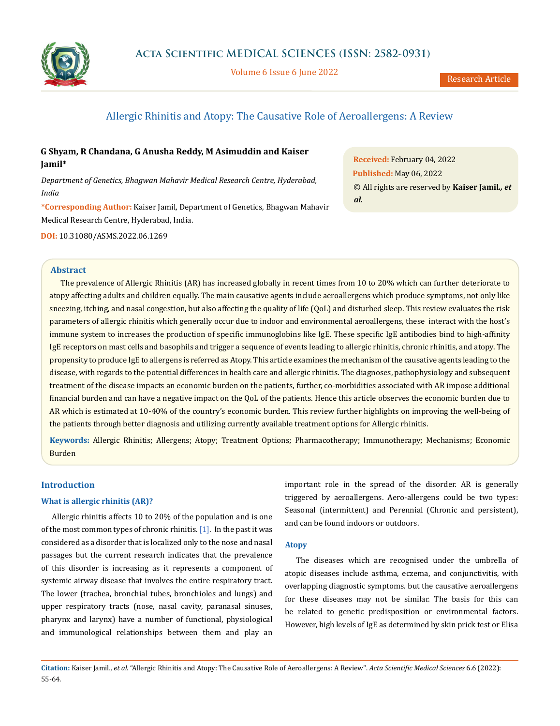

Volume 6 Issue 6 June 2022

# Allergic Rhinitis and Atopy: The Causative Role of Aeroallergens: A Review

## **G Shyam, R Chandana, G Anusha Reddy, M Asimuddin and Kaiser Jamil\***

*Department of Genetics, Bhagwan Mahavir Medical Research Centre, Hyderabad, India*

**\*Corresponding Author:** Kaiser Jamil, Department of Genetics, Bhagwan Mahavir Medical Research Centre, Hyderabad, India.

**DOI:** [10.31080/ASMS.2022.06.1269](http://actascientific.com/ASMS/pdf/ASMS-06-1269.pdf)

**Received:** February 04, 2022 **Published:** May 06, 2022 © All rights are reserved by **Kaiser Jamil***., et al.*

### **Abstract**

The prevalence of Allergic Rhinitis (AR) has increased globally in recent times from 10 to 20% which can further deteriorate to atopy affecting adults and children equally. The main causative agents include aeroallergens which produce symptoms, not only like sneezing, itching, and nasal congestion, but also affecting the quality of life (QoL) and disturbed sleep. This review evaluates the risk parameters of allergic rhinitis which generally occur due to indoor and environmental aeroallergens, these interact with the host's immune system to increases the production of specific immunoglobins like IgE. These specific IgE antibodies bind to high-affinity IgE receptors on mast cells and basophils and trigger a sequence of events leading to allergic rhinitis, chronic rhinitis, and atopy. The propensity to produce IgE to allergens is referred as Atopy. This article examines the mechanism of the causative agents leading to the disease, with regards to the potential differences in health care and allergic rhinitis. The diagnoses, pathophysiology and subsequent treatment of the disease impacts an economic burden on the patients, further, co-morbidities associated with AR impose additional financial burden and can have a negative impact on the QoL of the patients. Hence this article observes the economic burden due to AR which is estimated at 10-40% of the country's economic burden. This review further highlights on improving the well-being of the patients through better diagnosis and utilizing currently available treatment options for Allergic rhinitis.

**Keywords:** Allergic Rhinitis; Allergens; Atopy; Treatment Options; Pharmacotherapy; Immunotherapy; Mechanisms; Economic Burden

## **Introduction**

## **What is allergic rhinitis (AR)?**

Allergic rhinitis affects 10 to 20% of the population and is one of the most common types of chronic rhinitis.  $[1]$ . In the past it was considered as a disorder that is localized only to the nose and nasal passages but the current research indicates that the prevalence of this disorder is increasing as it represents a component of systemic airway disease that involves the entire respiratory tract. The lower (trachea, bronchial tubes, bronchioles and lungs) and upper respiratory tracts (nose, nasal cavity, paranasal sinuses, pharynx and larynx) have a number of functional, physiological and immunological relationships between them and play an important role in the spread of the disorder. AR is generally triggered by aeroallergens. Aero-allergens could be two types: Seasonal (intermittent) and Perennial (Chronic and persistent), and can be found indoors or outdoors.

### **Atopy**

The diseases which are recognised under the umbrella of atopic diseases include asthma, eczema, and conjunctivitis, with overlapping diagnostic symptoms. but the causative aeroallergens for these diseases may not be similar. The basis for this can be related to genetic predisposition or environmental factors. However, high levels of IgE as determined by skin prick test or Elisa

**Citation:** Kaiser Jamil*., et al.* "Allergic Rhinitis and Atopy: The Causative Role of Aeroallergens: A Review". *Acta Scientific Medical Sciences* 6.6 (2022): 55-64.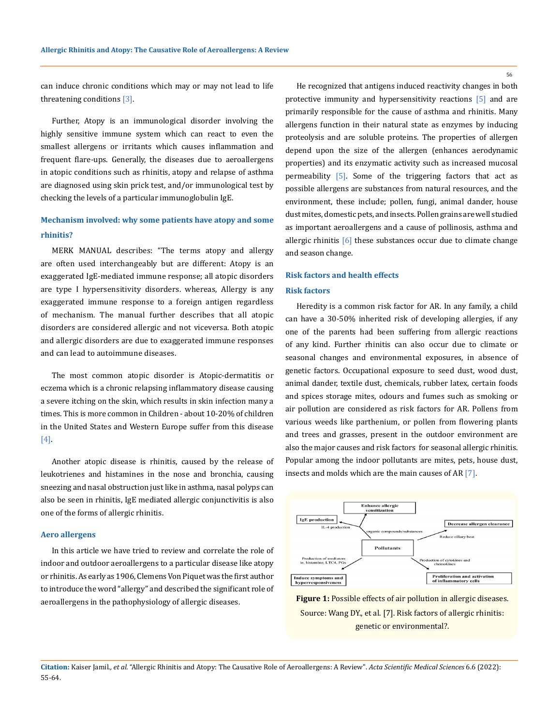56

can induce chronic conditions which may or may not lead to life threatening conditions [3].

Further, Atopy is an immunological disorder involving the highly sensitive immune system which can react to even the smallest allergens or irritants which causes inflammation and frequent flare-ups. Generally, the diseases due to aeroallergens in atopic conditions such as rhinitis, atopy and relapse of asthma are diagnosed using skin prick test, and/or immunological test by checking the levels of a particular immunoglobulin IgE.

# **Mechanism involved: why some patients have atopy and some rhinitis?**

MERK MANUAL describes: "The terms atopy and allergy are often used interchangeably but are different: Atopy is an exaggerated IgE-mediated immune response; all atopic disorders are type I hypersensitivity disorders. whereas, Allergy is any exaggerated immune response to a foreign antigen regardless of mechanism. The manual further describes that all atopic disorders are considered allergic and not viceversa. Both atopic and allergic disorders are due to exaggerated immune responses and can lead to autoimmune diseases.

The most common atopic disorder is Atopic-dermatitis or eczema which is a chronic relapsing inflammatory disease causing a severe itching on the skin, which results in skin infection many a times. This is more common in Children - about 10-20% of children in the United States and Western Europe suffer from this disease [4].

Another atopic disease is rhinitis, caused by the release of leukotrienes and histamines in the nose and bronchia, causing sneezing and nasal obstruction just like in asthma, nasal polyps can also be seen in rhinitis, IgE mediated allergic conjunctivitis is also one of the forms of allergic rhinitis.

### **Aero allergens**

In this article we have tried to review and correlate the role of indoor and outdoor aeroallergens to a particular disease like atopy or rhinitis. As early as 1906, Clemens Von Piquet was the first author to introduce the word "allergy" and described the significant role of aeroallergens in the pathophysiology of allergic diseases.

He recognized that antigens induced reactivity changes in both protective immunity and hypersensitivity reactions [5] and are primarily responsible for the cause of asthma and rhinitis. Many allergens function in their natural state as enzymes by inducing proteolysis and are soluble proteins. The properties of allergen depend upon the size of the allergen (enhances aerodynamic properties) and its enzymatic activity such as increased mucosal permeability [5]. Some of the triggering factors that act as possible allergens are substances from natural resources, and the environment, these include; pollen, fungi, animal dander, house dust mites, domestic pets, and insects. Pollen grains are well studied as important aeroallergens and a cause of pollinosis, asthma and allergic rhinitis [6] these substances occur due to climate change and season change.

# **Risk factors and health effects**

#### **Risk factors**

Heredity is a common risk factor for AR. In any family, a child can have a 30-50% inherited risk of developing allergies, if any one of the parents had been suffering from allergic reactions of any kind. Further rhinitis can also occur due to climate or seasonal changes and environmental exposures, in absence of genetic factors. Occupational exposure to seed dust, wood dust, animal dander, textile dust, chemicals, rubber latex, certain foods and spices storage mites, odours and fumes such as smoking or air pollution are considered as risk factors for AR. Pollens from various weeds like parthenium, or pollen from flowering plants and trees and grasses, present in the outdoor environment are also the major causes and risk factors for seasonal allergic rhinitis. Popular among the indoor pollutants are mites, pets, house dust, insects and molds which are the main causes of AR [7].



**Figure 1:** Possible effects of air pollution in allergic diseases. Source: Wang DY., et al. [7]. Risk factors of allergic rhinitis: genetic or environmental?.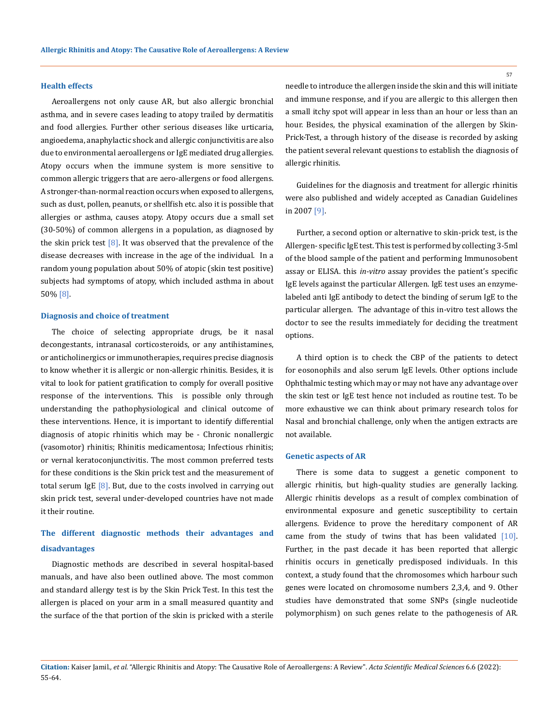### **Health effects**

Aeroallergens not only cause AR, but also allergic bronchial asthma, and in severe cases leading to atopy trailed by dermatitis and food allergies. Further other serious diseases like urticaria, angioedema, anaphylactic shock and allergic conjunctivitis are also due to environmental aeroallergens or IgE mediated drug allergies. Atopy occurs when the immune system is more sensitive to common allergic triggers that are aero-allergens or food allergens. A stronger-than-normal reaction occurs when exposed to allergens, such as dust, pollen, peanuts, or shellfish etc. also it is possible that allergies or asthma, causes atopy. Atopy occurs due a small set (30-50%) of common allergens in a population, as diagnosed by the skin prick test  $[8]$ . It was observed that the prevalence of the disease decreases with increase in the age of the individual. In a random young population about 50% of atopic (skin test positive) subjects had symptoms of atopy, which included asthma in about 50% [8].

#### **Diagnosis and choice of treatment**

The choice of selecting appropriate drugs, be it nasal decongestants, intranasal corticosteroids, or any antihistamines, or anticholinergics or immunotherapies, requires precise diagnosis to know whether it is allergic or non-allergic rhinitis. Besides, it is vital to look for patient gratification to comply for overall positive response of the interventions. This is possible only through understanding the pathophysiological and clinical outcome of these interventions. Hence, it is important to identify differential diagnosis of atopic rhinitis which may be - Chronic nonallergic (vasomotor) rhinitis; Rhinitis medicamentosa; Infectious rhinitis; or vernal keratoconjunctivitis. The most common preferred tests for these conditions is the Skin prick test and the measurement of total serum IgE  $[8]$ . But, due to the costs involved in carrying out skin prick test, several under-developed countries have not made it their routine.

# **The different diagnostic methods their advantages and disadvantages**

Diagnostic methods are described in several hospital-based manuals, and have also been outlined above. The most common and standard allergy test is by the Skin Prick Test. In this test the allergen is placed on your arm in a small measured quantity and the surface of the that portion of the skin is pricked with a sterile needle to introduce the allergen inside the skin and this will initiate and immune response, and if you are allergic to this allergen then a small itchy spot will appear in less than an hour or less than an hour. Besides, the physical examination of the allergen by Skin-Prick-Test, a through history of the disease is recorded by asking the patient several relevant questions to establish the diagnosis of allergic rhinitis.

Guidelines for the diagnosis and treatment for allergic rhinitis were also published and widely accepted as Canadian Guidelines in 2007 [9].

Further, a second option or alternative to skin-prick test, is the Allergen- specific IgE test. This test is performed by collecting 3-5ml of the blood sample of the patient and performing Immunosobent assay or ELISA. this *in-vitro* assay provides the patient's specific IgE levels against the particular Allergen. IgE test uses an enzymelabeled anti IgE antibody to detect the binding of serum IgE to the particular allergen. The advantage of this in-vitro test allows the doctor to see the results immediately for deciding the treatment options.

A third option is to check the CBP of the patients to detect for eosonophils and also serum IgE levels. Other options include Ophthalmic testing which may or may not have any advantage over the skin test or IgE test hence not included as routine test. To be more exhaustive we can think about primary research tolos for Nasal and bronchial challenge, only when the antigen extracts are not available.

#### **Genetic aspects of AR**

There is some data to suggest a genetic component to allergic rhinitis, but high-quality studies are generally lacking. Allergic rhinitis develops as a result of complex combination of environmental exposure and genetic susceptibility to certain allergens. Evidence to prove the hereditary component of AR came from the study of twins that has been validated  $[10]$ . Further, in the past decade it has been reported that allergic rhinitis occurs in genetically predisposed individuals. In this context, a study found that the chromosomes which harbour such genes were located on chromosome numbers 2,3,4, and 9. Other studies have demonstrated that some SNPs (single nucleotide polymorphism) on such genes relate to the pathogenesis of AR.

**Citation:** Kaiser Jamil*., et al.* "Allergic Rhinitis and Atopy: The Causative Role of Aeroallergens: A Review". *Acta Scientific Medical Sciences* 6.6 (2022): 55-64.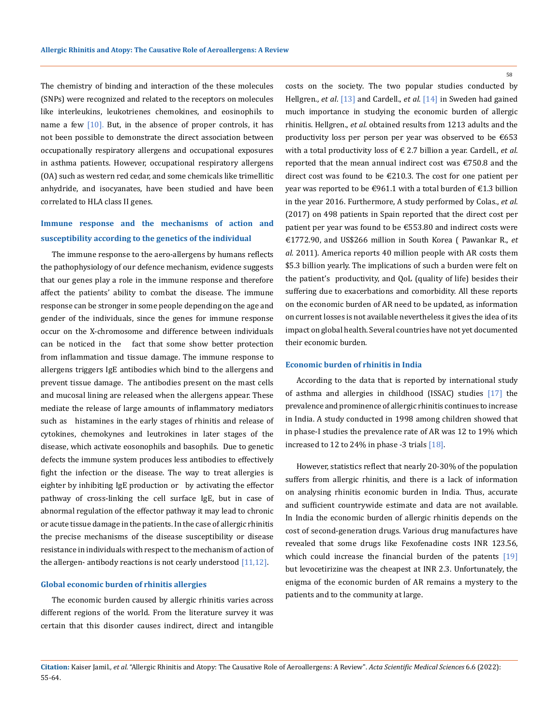The chemistry of binding and interaction of the these molecules (SNPs) were recognized and related to the receptors on molecules like interleukins, leukotrienes chemokines, and eosinophils to name a few  $[10]$ . But, in the absence of proper controls, it has not been possible to demonstrate the direct association between occupationally respiratory allergens and occupational exposures in asthma patients. However, occupational respiratory allergens (OA) such as western red cedar, and some chemicals like trimellitic anhydride, and isocyanates, have been studied and have been correlated to HLA class II genes.

# **Immune response and the mechanisms of action and susceptibility according to the genetics of the individual**

The immune response to the aero-allergens by humans reflects the pathophysiology of our defence mechanism, evidence suggests that our genes play a role in the immune response and therefore affect the patients' ability to combat the disease. The immune response can be stronger in some people depending on the age and gender of the individuals, since the genes for immune response occur on the X-chromosome and difference between individuals can be noticed in the fact that some show better protection from inflammation and tissue damage. The immune response to allergens triggers IgE antibodies which bind to the allergens and prevent tissue damage. The antibodies present on the mast cells and mucosal lining are released when the allergens appear. These mediate the release of large amounts of inflammatory mediators such as histamines in the early stages of rhinitis and release of cytokines, chemokynes and leutrokines in later stages of the disease, which activate eosonophils and basophils. Due to genetic defects the immune system produces less antibodies to effectively fight the infection or the disease. The way to treat allergies is eighter by inhibiting IgE production or by activating the effector pathway of cross-linking the cell surface IgE, but in case of abnormal regulation of the effector pathway it may lead to chronic or acute tissue damage in the patients. In the case of allergic rhinitis the precise mechanisms of the disease susceptibility or disease resistance in individuals with respect to the mechanism of action of the allergen- antibody reactions is not cearly understood [11,12].

#### **Global economic burden of rhinitis allergies**

The economic burden caused by allergic rhinitis varies across different regions of the world. From the literature survey it was certain that this disorder causes indirect, direct and intangible costs on the society. The two popular studies conducted by Hellgren., *et al*. [13] and Cardell., *et al*. [14] in Sweden had gained much importance in studying the economic burden of allergic rhinitis. Hellgren., *et al*. obtained results from 1213 adults and the productivity loss per person per year was observed to be  $€653$ with a total productivity loss of € 2.7 billion a year. Cardell., *et al*. reported that the mean annual indirect cost was €750.8 and the direct cost was found to be €210.3. The cost for one patient per year was reported to be  $\epsilon$ 961.1 with a total burden of  $\epsilon$ 1.3 billion in the year 2016. Furthermore, A study performed by Colas., *et al*. (2017) on 498 patients in Spain reported that the direct cost per patient per year was found to be €553.80 and indirect costs were €1772.90, and US\$266 million in South Korea ( Pawankar R., *et al.* 2011). America reports 40 million people with AR costs them \$5.3 billion yearly. The implications of such a burden were felt on the patient's productivity, and QoL (quality of life) besides their suffering due to exacerbations and comorbidity. All these reports on the economic burden of AR need to be updated, as information on current losses is not available nevertheless it gives the idea of its impact on global health. Several countries have not yet documented their economic burden.

#### **Economic burden of rhinitis in India**

According to the data that is reported by international study of asthma and allergies in childhood (ISSAC) studies [17] the prevalence and prominence of allergic rhinitis continues to increase in India. A study conducted in 1998 among children showed that in phase-I studies the prevalence rate of AR was 12 to 19% which increased to 12 to 24% in phase -3 trials [18].

However, statistics reflect that nearly 20-30% of the population suffers from allergic rhinitis, and there is a lack of information on analysing rhinitis economic burden in India. Thus, accurate and sufficient countrywide estimate and data are not available. In India the economic burden of allergic rhinitis depends on the cost of second-generation drugs. Various drug manufactures have revealed that some drugs like Fexofenadine costs INR 123.56, which could increase the financial burden of the patents [19] but levocetirizine was the cheapest at INR 2.3. Unfortunately, the enigma of the economic burden of AR remains a mystery to the patients and to the community at large.

**Citation:** Kaiser Jamil*., et al.* "Allergic Rhinitis and Atopy: The Causative Role of Aeroallergens: A Review". *Acta Scientific Medical Sciences* 6.6 (2022): 55-64.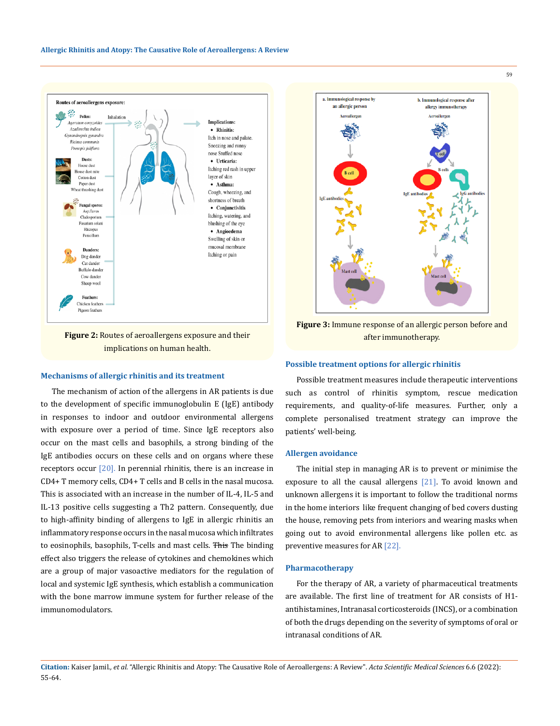

**Figure 2:** Routes of aeroallergens exposure and their implications on human health.

#### **Mechanisms of allergic rhinitis and its treatment**

The mechanism of action of the allergens in AR patients is due to the development of specific immunoglobulin E (IgE) antibody in responses to indoor and outdoor environmental allergens with exposure over a period of time. Since IgE receptors also occur on the mast cells and basophils, a strong binding of the IgE antibodies occurs on these cells and on organs where these receptors occur  $\lceil 20 \rceil$ . In perennial rhinitis, there is an increase in CD4+ T memory cells, CD4+ T cells and B cells in the nasal mucosa. This is associated with an increase in the number of IL-4, IL-5 and IL-13 positive cells suggesting a Th2 pattern. Consequently, due to high-affinity binding of allergens to IgE in allergic rhinitis an inflammatory response occurs in the nasal mucosa which infiltrates to eosinophils, basophils, T-cells and mast cells. This The binding effect also triggers the release of cytokines and chemokines which are a group of major vasoactive mediators for the regulation of local and systemic IgE synthesis, which establish a communication with the bone marrow immune system for further release of the immunomodulators.



**Figure 3:** Immune response of an allergic person before and after immunotherapy.

#### **Possible treatment options for allergic rhinitis**

Possible treatment measures include therapeutic interventions such as control of rhinitis symptom, rescue medication requirements, and quality-of-life measures. Further, only a complete personalised treatment strategy can improve the patients' well-being.

## **Allergen avoidance**

The initial step in managing AR is to prevent or minimise the exposure to all the causal allergens [21]. To avoid known and unknown allergens it is important to follow the traditional norms in the home interiors like frequent changing of bed covers dusting the house, removing pets from interiors and wearing masks when going out to avoid environmental allergens like pollen etc. as preventive measures for AR [22].

#### **Pharmacotherapy**

For the therapy of AR, a variety of pharmaceutical treatments are available. The first line of treatment for AR consists of H1 antihistamines, Intranasal corticosteroids (INCS), or a combination of both the drugs depending on the severity of symptoms of oral or intranasal conditions of AR.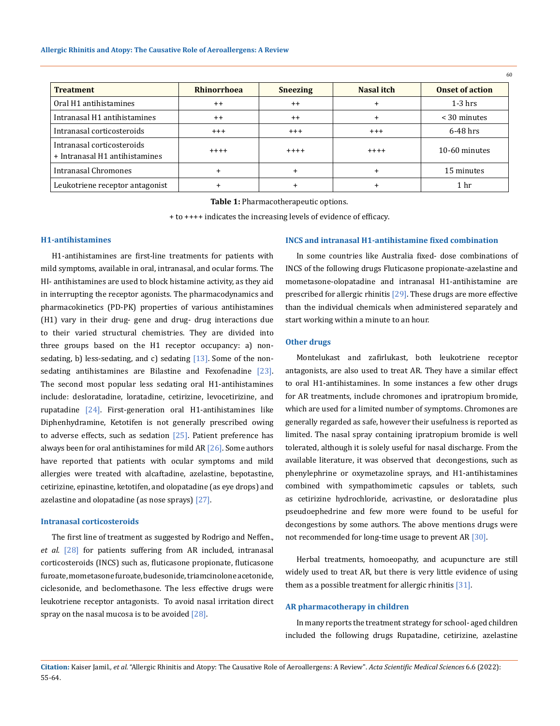| <b>Treatment</b>                                             | <b>Rhinorrhoea</b> | <b>Sneezing</b> | Nasal itch | <b>Onset of action</b> |
|--------------------------------------------------------------|--------------------|-----------------|------------|------------------------|
| Oral H1 antihistamines                                       | $++$               | $++$            |            | $1-3$ hrs              |
| Intranasal H1 antihistamines                                 | $++$               | $++$            |            | $<$ 30 minutes         |
| Intranasal corticosteroids                                   | $+++$              | $^{++}$         | $^{+++}$   | $6-48$ hrs             |
| Intranasal corticosteroids<br>+ Intranasal H1 antihistamines | $+++++$            | $++++$          | $++++$     | 10-60 minutes          |
| Intranasal Chromones                                         |                    |                 |            | 15 minutes             |
| Leukotriene receptor antagonist                              |                    |                 |            | 1 hr                   |

**Table 1:** Pharmacotherapeutic options.

+ to ++++ indicates the increasing levels of evidence of efficacy.

## **H1-antihistamines**

H1-antihistamines are first-line treatments for patients with mild symptoms, available in oral, intranasal, and ocular forms. The HI- antihistamines are used to block histamine activity, as they aid in interrupting the receptor agonists. The pharmacodynamics and pharmacokinetics (PD-PK) properties of various antihistamines (H1) vary in their drug- gene and drug- drug interactions due to their varied structural chemistries. They are divided into three groups based on the H1 receptor occupancy: a) nonsedating, b) less-sedating, and c) sedating  $[13]$ . Some of the nonsedating antihistamines are Bilastine and Fexofenadine [23]. The second most popular less sedating oral H1-antihistamines include: desloratadine, loratadine, cetirizine, levocetirizine, and rupatadine  $[24]$ . First-generation oral H1-antihistamines like Diphenhydramine, Ketotifen is not generally prescribed owing to adverse effects, such as sedation  $[25]$ . Patient preference has always been for oral antihistamines for mild AR [26]. Some authors have reported that patients with ocular symptoms and mild allergies were treated with alcaftadine, azelastine, bepotastine, cetirizine, epinastine, ketotifen, and olopatadine (as eye drops) and azelastine and olopatadine (as nose sprays) [27].

#### **Intranasal corticosteroids**

The first line of treatment as suggested by Rodrigo and Neffen., *et al.* [28] for patients suffering from AR included, intranasal corticosteroids (INCS) such as, fluticasone propionate, fluticasone furoate, mometasone furoate, budesonide, triamcinolone acetonide, ciclesonide, and beclomethasone. The less effective drugs were leukotriene receptor antagonists. To avoid nasal irritation direct spray on the nasal mucosa is to be avoided  $[28]$ .

#### **INCS and intranasal H1-antihistamine fixed combination**

In some countries like Australia fixed- dose combinations of INCS of the following drugs Fluticasone propionate-azelastine and mometasone-olopatadine and intranasal H1-antihistamine are prescribed for allergic rhinitis [29]. These drugs are more effective than the individual chemicals when administered separately and start working within a minute to an hour.

60

#### **Other drugs**

Montelukast and zafirlukast, both leukotriene receptor antagonists, are also used to treat AR. They have a similar effect to oral H1-antihistamines. In some instances a few other drugs for AR treatments, include chromones and ipratropium bromide, which are used for a limited number of symptoms. Chromones are generally regarded as safe, however their usefulness is reported as limited. The nasal spray containing ipratropium bromide is well tolerated, although it is solely useful for nasal discharge. From the available literature, it was observed that decongestions, such as phenylephrine or oxymetazoline sprays, and H1-antihistamines combined with sympathomimetic capsules or tablets, such as cetirizine hydrochloride, acrivastine, or desloratadine plus pseudoephedrine and few more were found to be useful for decongestions by some authors. The above mentions drugs were not recommended for long-time usage to prevent AR [30].

Herbal treatments, homoeopathy, and acupuncture are still widely used to treat AR, but there is very little evidence of using them as a possible treatment for allergic rhinitis  $[31]$ .

#### **AR pharmacotherapy in children**

In many reports the treatment strategy for school- aged children included the following drugs Rupatadine, cetirizine, azelastine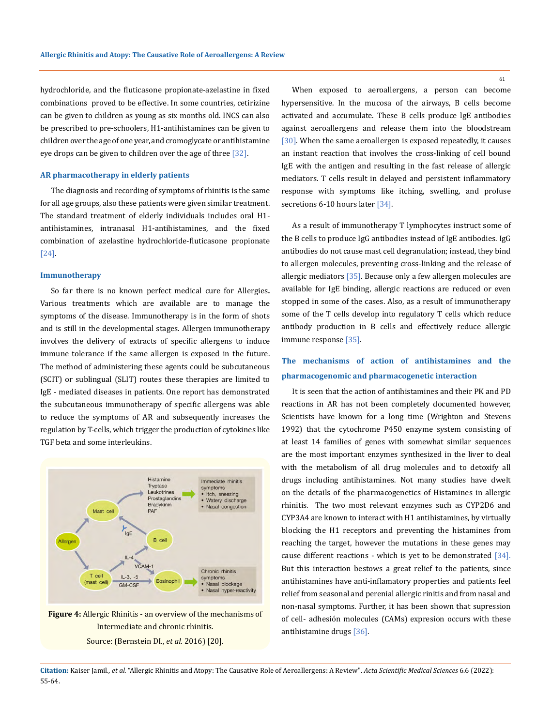hydrochloride, and the fluticasone propionate-azelastine in fixed combinations proved to be effective. In some countries, cetirizine can be given to children as young as six months old. INCS can also be prescribed to pre-schoolers, H1-antihistamines can be given to children over the age of one year, and cromoglycate or antihistamine eye drops can be given to children over the age of three [32].

### **AR pharmacotherapy in elderly patients**

The diagnosis and recording of symptoms of rhinitis is the same for all age groups, also these patients were given similar treatment. The standard treatment of elderly individuals includes oral H1 antihistamines, intranasal H1-antihistamines, and the fixed combination of azelastine hydrochloride-fluticasone propionate [24].

#### **Immunotherapy**

So far there is no known perfect medical cure for Allergies**.**  Various treatments which are available are to manage the symptoms of the disease. Immunotherapy is in the form of shots and is still in the developmental stages. Allergen immunotherapy involves the delivery of extracts of specific allergens to induce immune tolerance if the same allergen is exposed in the future. The method of administering these agents could be subcutaneous (SCIT) or sublingual (SLIT) routes these therapies are limited to IgE - mediated diseases in patients. One report has demonstrated the subcutaneous immunotherapy of specific allergens was able to reduce the symptoms of AR and subsequently increases the regulation by T-cells, which trigger the production of cytokines like TGF beta and some interleukins.



**Figure 4:** Allergic Rhinitis - an overview of the mechanisms of Intermediate and chronic rhinitis.

Source: (Bernstein DI., *et al*. 2016) [20].

When exposed to aeroallergens, a person can become hypersensitive. In the mucosa of the airways, B cells become activated and accumulate. These B cells produce lgE antibodies against aeroallergens and release them into the bloodstream [30]. When the same aeroallergen is exposed repeatedly, it causes an instant reaction that involves the cross-linking of cell bound IgE with the antigen and resulting in the fast release of allergic mediators. T cells result in delayed and persistent inflammatory response with symptoms like itching, swelling, and profuse secretions 6-10 hours later [34].

As a result of immunotherapy T lymphocytes instruct some of the B cells to produce IgG antibodies instead of IgE antibodies. IgG antibodies do not cause mast cell degranulation; instead, they bind to allergen molecules, preventing cross-linking and the release of allergic mediators [35]. Because only a few allergen molecules are available for IgE binding, allergic reactions are reduced or even stopped in some of the cases. Also, as a result of immunotherapy some of the T cells develop into regulatory T cells which reduce antibody production in B cells and effectively reduce allergic immune response [35].

# **The mechanisms of action of antihistamines and the pharmacogenomic and pharmacogenetic interaction**

It is seen that the action of antihistamines and their PK and PD reactions in AR has not been completely documented however, Scientists have known for a long time (Wrighton and Stevens 1992) that the cytochrome P450 enzyme system consisting of at least 14 families of genes with somewhat similar sequences are the most important enzymes synthesized in the liver to deal with the metabolism of all drug molecules and to detoxify all drugs including antihistamines. Not many studies have dwelt on the details of the pharmacogenetics of Histamines in allergic rhinitis. The two most relevant enzymes such as CYP2D6 and CYP3A4 are known to interact with H1 antihistamines, by virtually blocking the H1 receptors and preventing the histamines from reaching the target, however the mutations in these genes may cause different reactions - which is yet to be demonstrated [34]. But this interaction bestows a great relief to the patients, since antihistamines have anti-inflamatory properties and patients feel relief from seasonal and perenial allergic rinitis and from nasal and non-nasal symptoms. Further, it has been shown that supression of cell- adhesión molecules (CAMs) expresion occurs with these antihistamine drugs [36].

**Citation:** Kaiser Jamil*., et al.* "Allergic Rhinitis and Atopy: The Causative Role of Aeroallergens: A Review". *Acta Scientific Medical Sciences* 6.6 (2022): 55-64.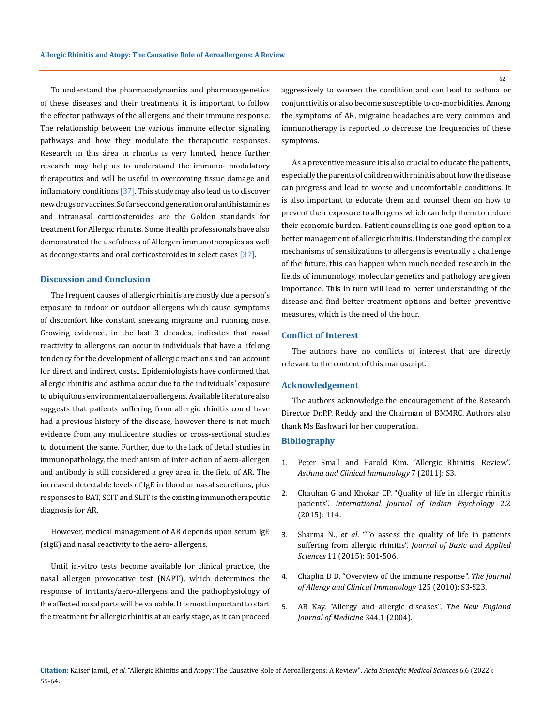To understand the pharmacodynamics and pharmacogenetics of these diseases and their treatments it is important to follow the effector pathways of the allergens and their immune response. The relationship between the various immune effector signaling pathways and how they modulate the therapeutic responses. Research in this área in rhinitis is very limited, hence further research may help us to understand the immuno- modulatory therapeutics and will be useful in overcoming tissue damage and inflamatory conditions  $[37]$ . This study may also lead us to discover new drugs or vaccines. So far seccond generation oral antihistamines and intranasal corticosteroides are the Golden standards for treatment for Allergic rhinitis. Some Health professionals have also demonstrated the usefulness of Allergen immunotherapies as well as decongestants and oral corticosteroides in select cases [37].

## **Discussion and Conclusion**

The frequent causes of allergic rhinitis are mostly due a person's exposure to indoor or outdoor allergens which cause symptoms of discomfort like constant sneezing migraine and running nose. Growing evidence, in the last 3 decades, indicates that nasal reactivity to allergens can occur in individuals that have a lifelong tendency for the development of allergic reactions and can account for direct and indirect costs.. Epidemiologists have confirmed that allergic rhinitis and asthma occur due to the individuals' exposure to ubiquitous environmental aeroallergens. Available literature also suggests that patients suffering from allergic rhinitis could have had a previous history of the disease, however there is not much evidence from any multicentre studies or cross-sectional studies to document the same. Further, due to the lack of detail studies in immunopathology, the mechanism of inter-action of aero-allergen and antibody is still considered a grey area in the field of AR. The increased detectable levels of IgE in blood or nasal secretions, plus responses to BAT, SCIT and SLIT is the existing immunotherapeutic diagnosis for AR.

However, medical management of AR depends upon serum IgE (sIgE) and nasal reactivity to the aero- allergens.

Until in-vitro tests become available for clinical practice, the nasal allergen provocative test (NAPT), which determines the response of irritants/aero-allergens and the pathophysiology of the affected nasal parts will be valuable. It is most important to start the treatment for allergic rhinitis at an early stage, as it can proceed

aggressively to worsen the condition and can lead to asthma or conjunctivitis or also become susceptible to co-morbidities. Among the symptoms of AR, migraine headaches are very common and immunotherapy is reported to decrease the frequencies of these symptoms.

As a preventive measure it is also crucial to educate the patients, especially the parents of children with rhinitis about how the disease can progress and lead to worse and uncomfortable conditions. It is also important to educate them and counsel them on how to prevent their exposure to allergens which can help them to reduce their economic burden. Patient counselling is one good option to a better management of allergic rhinitis. Understanding the complex mechanisms of sensitizations to allergens is eventually a challenge of the future, this can happen when much needed research in the fields of immunology, molecular genetics and pathology are given importance. This in turn will lead to better understanding of the disease and find better treatment options and better preventive measures, which is the need of the hour.

### **Conflict of Interest**

The authors have no conflicts of interest that are directly relevant to the content of this manuscript.

### **Acknowledgement**

The authors acknowledge the encouragement of the Research Director Dr.P.P. Reddy and the Chairman of BMMRC. Authors also thank Ms Eashwari for her cooperation.

### **Bibliography**

- 1. [Peter Small and Harold Kim. "Allergic Rhinitis: Review".](https://pubmed.ncbi.nlm.nih.gov/30263033/)  *[Asthma and Clinical Immunology](https://pubmed.ncbi.nlm.nih.gov/30263033/)* 7 (2011): S3.
- 2. [Chauhan G and Khokar CP. "Quality of life in allergic rhinitis](https://ijip.in/articles/quality-of-life-in-allergic-rhinitis-patients/)  patients". *[International Journal of Indian Psychology](https://ijip.in/articles/quality-of-life-in-allergic-rhinitis-patients/)* 2.2 [\(2015\): 114.](https://ijip.in/articles/quality-of-life-in-allergic-rhinitis-patients/)
- 3. Sharma N., *et al*. "To assess the quality of life in patients suffering from allergic rhinitis". *Journal of Basic and Applied Sciences* 11 (2015): 501-506.
- 4. [Chaplin D D. "Overview of the immune response".](https://doi.org/10.1016/j.jaci.2009.12.980) *The Journal [of Allergy and Clinical Immunology](https://doi.org/10.1016/j.jaci.2009.12.980)* 125 (2010): S3-S23.
- 5. AB Kay. "Allergy and allergic diseases". *The New England Journal of Medicine* 344.1 (2004).

**Citation:** Kaiser Jamil*., et al.* "Allergic Rhinitis and Atopy: The Causative Role of Aeroallergens: A Review". *Acta Scientific Medical Sciences* 6.6 (2022): 55-64.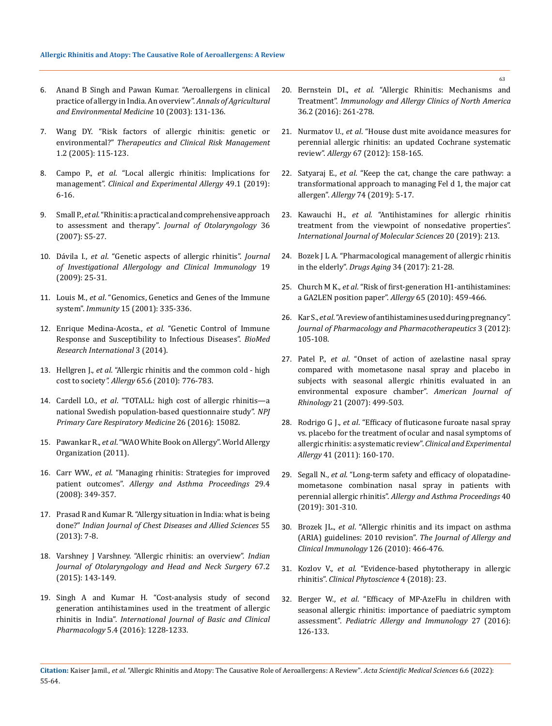- 6. [Anand B Singh and Pawan Kumar. "Aeroallergens in clinical](https://pubmed.ncbi.nlm.nih.gov/14677902/)  [practice of allergy in India. An overview".](https://pubmed.ncbi.nlm.nih.gov/14677902/) *Annals of Agricultural [and Environmental Medicine](https://pubmed.ncbi.nlm.nih.gov/14677902/)* 10 (2003): 131-136.
- 7. [Wang DY. "Risk factors of allergic rhinitis: genetic or](https://pubmed.ncbi.nlm.nih.gov/18360551/)  environmental?" *[Therapeutics and Clinical Risk Management](https://pubmed.ncbi.nlm.nih.gov/18360551/)*  [1.2 \(2005\): 115-123.](https://pubmed.ncbi.nlm.nih.gov/18360551/)
- 8. Campo P., *et al*[. "Local allergic rhinitis: Implications for](https://pubmed.ncbi.nlm.nih.gov/29900607/)  management". *[Clinical and Experimental Allergy](https://pubmed.ncbi.nlm.nih.gov/29900607/)* 49.1 (2019): [6-16.](https://pubmed.ncbi.nlm.nih.gov/29900607/)
- 9. Small P., *et al*. "Rhinitis: a practical and comprehensive approach to assessment and therapy". *Journal of Otolaryngology* 36 (2007): S5-27.
- 10. Dávila I., *et al*[. "Genetic aspects of allergic rhinitis".](https://pubmed.ncbi.nlm.nih.gov/19476051/) *Journal [of Investigational Allergology and Clinical Immunology](https://pubmed.ncbi.nlm.nih.gov/19476051/)* 19 [\(2009\): 25-31.](https://pubmed.ncbi.nlm.nih.gov/19476051/)
- 11. Louis M., *et al*[. "Genomics, Genetics and Genes of the Immune](https://www.cell.com/immunity/pdf/S1074-7613(01)00204-7.pdf)  system". *Immunity* [15 \(2001\): 335-336.](https://www.cell.com/immunity/pdf/S1074-7613(01)00204-7.pdf)
- 12. Enrique Medina-Acosta., *et al*[. "Genetic Control of Immune](https://doi.org/10.1155/2014/796073)  [Response and Susceptibility to Infectious Diseases".](https://doi.org/10.1155/2014/796073) *BioMed [Research International](https://doi.org/10.1155/2014/796073)* 3 (2014).
- 13. Hellgren J., *et al*. "Allergic rhinitis and the common cold high cost to society*". Allergy* 65.6 (2010): 776-783.
- 14. Cardell LO., *et al*. "TOTALL: high cost of allergic rhinitis—a national Swedish population-based questionnaire study". *NPJ Primary Care Respiratory Medicine* 26 (2016): 15082.
- 15. Pawankar R., *et al*. "WAO White Book on Allergy". World Allergy Organization (2011).
- 16. Carr WW., *et al*[. "Managing rhinitis: Strategies for improved](https://pubmed.ncbi.nlm.nih.gov/18702880/)  patient outcomes". *[Allergy and Asthma Proceedings](https://pubmed.ncbi.nlm.nih.gov/18702880/)* 29.4 [\(2008\): 349-357.](https://pubmed.ncbi.nlm.nih.gov/18702880/)
- 17. [Prasad R and Kumar R. "Allergy situation in India: what is being](https://vpci.org.in/uploads/file/Article-3-Editorial-1-2013.pdf)  done?" *[Indian Journal of Chest Diseases and Allied Sciences](https://vpci.org.in/uploads/file/Article-3-Editorial-1-2013.pdf)* 55 [\(2013\): 7-8.](https://vpci.org.in/uploads/file/Article-3-Editorial-1-2013.pdf)
- 18. [Varshney J Varshney. "Allergic rhinitis: an overview".](https://pubmed.ncbi.nlm.nih.gov/26075169/) *Indian [Journal of Otolaryngology and Head and Neck Surgery](https://pubmed.ncbi.nlm.nih.gov/26075169/)* 67.2 [\(2015\): 143-149.](https://pubmed.ncbi.nlm.nih.gov/26075169/)
- 19. [Singh A and Kumar H. "Cost-analysis study of second](https://www.ijbcp.com/index.php/ijbcp/article/view/469)  [generation antihistamines used in the treatment of allergic](https://www.ijbcp.com/index.php/ijbcp/article/view/469)  rhinitis in India". *[International Journal of Basic and Clinical](https://www.ijbcp.com/index.php/ijbcp/article/view/469)  Pharmacology* [5.4 \(2016\): 1228-1233.](https://www.ijbcp.com/index.php/ijbcp/article/view/469)
- 20. Bernstein DI., *et al*[. "Allergic Rhinitis: Mechanisms and](https://pubmed.ncbi.nlm.nih.gov/27083101/)  Treatment". *[Immunology and Allergy Clinics of North America](https://pubmed.ncbi.nlm.nih.gov/27083101/)*  [36.2 \(2016\): 261-278.](https://pubmed.ncbi.nlm.nih.gov/27083101/)
- 21. Nurmatov U., *et al*[. "House dust mite avoidance measures for](https://pubmed.ncbi.nlm.nih.gov/22103686/)  [perennial allergic rhinitis: an updated Cochrane systematic](https://pubmed.ncbi.nlm.nih.gov/22103686/)  review". *Allergy* [67 \(2012\): 158-165.](https://pubmed.ncbi.nlm.nih.gov/22103686/)
- 22. Satyaraj E., *et al*. "Keep the cat, change the care pathway: a transformational approach to managing Fel d 1, the major cat allergen". *Allergy* 74 (2019): 5-17.
- 23. Kawauchi H., *et al*[. "Antihistamines for allergic rhinitis](https://pubmed.ncbi.nlm.nih.gov/30626077/)  [treatment from the viewpoint of nonsedative properties".](https://pubmed.ncbi.nlm.nih.gov/30626077/)  *[International Journal of Molecular Sciences](https://pubmed.ncbi.nlm.nih.gov/30626077/)* 20 (2019): 213.
- 24. Bozek J L A. "Pharmacological management of allergic rhinitis in the elderly". *Drugs Aging* 34 (2017): 21-28.
- 25. Church M K., *et al*[. "Risk of first-generation H1-antihistamines:](https://pubmed.ncbi.nlm.nih.gov/20146728/)  [a GA2LEN position paper".](https://pubmed.ncbi.nlm.nih.gov/20146728/) *Allergy* 65 (2010): 459-466.
- 26. Kar S., *et al*. "A review of antihistamines used during pregnancy". *Journal of Pharmacology and Pharmacotherapeutics* 3 (2012): 105-108.
- 27. Patel P., *et al*. "Onset of action of azelastine nasal spray compared with mometasone nasal spray and placebo in subjects with seasonal allergic rhinitis evaluated in an environmental exposure chamber". *American Journal of Rhinology* 21 (2007): 499-503.
- 28. Rodrigo G J., *et al*[. "Efficacy of fluticasone furoate nasal spray](https://pubmed.ncbi.nlm.nih.gov/21121980/)  [vs. placebo for the treatment of ocular and nasal symptoms of](https://pubmed.ncbi.nlm.nih.gov/21121980/)  [allergic rhinitis: a systematic review".](https://pubmed.ncbi.nlm.nih.gov/21121980/) *Clinical and Experimental Allergy* [41 \(2011\): 160-170.](https://pubmed.ncbi.nlm.nih.gov/21121980/)
- 29. Segall N., *et al*[. "Long-term safety and efficacy of olopatadine](https://pubmed.ncbi.nlm.nih.gov/31248471/)[mometasone combination nasal spray in patients with](https://pubmed.ncbi.nlm.nih.gov/31248471/)  perennial allergic rhinitis". *[Allergy and Asthma Proceedings](https://pubmed.ncbi.nlm.nih.gov/31248471/)* 40 [\(2019\): 301-310.](https://pubmed.ncbi.nlm.nih.gov/31248471/)
- 30. Brozek JL., *et al*[. "Allergic rhinitis and its impact on asthma](https://pubmed.ncbi.nlm.nih.gov/20816182/)  [\(ARIA\) guidelines: 2010 revision".](https://pubmed.ncbi.nlm.nih.gov/20816182/) *The Journal of Allergy and [Clinical Immunology](https://pubmed.ncbi.nlm.nih.gov/20816182/)* 126 (2010): 466-476.
- 31. Kozlov V., *et al*[. "Evidence-based phytotherapy in allergic](https://clinphytoscience.springeropen.com/articles/10.1186/s40816-018-0080-0)  rhinitis". *[Clinical Phytoscience](https://clinphytoscience.springeropen.com/articles/10.1186/s40816-018-0080-0)* 4 (2018): 23.
- 32. Berger W., *et al*[. "Efficacy of MP-AzeFlu in children with](https://pubmed.ncbi.nlm.nih.gov/26928753/)  [seasonal allergic rhinitis: importance of paediatric symptom](https://pubmed.ncbi.nlm.nih.gov/26928753/)  assessment". *[Pediatric Allergy and Immunology](https://pubmed.ncbi.nlm.nih.gov/26928753/)* 27 (2016): [126-133.](https://pubmed.ncbi.nlm.nih.gov/26928753/)

**Citation:** Kaiser Jamil*., et al.* "Allergic Rhinitis and Atopy: The Causative Role of Aeroallergens: A Review". *Acta Scientific Medical Sciences* 6.6 (2022): 55-64.